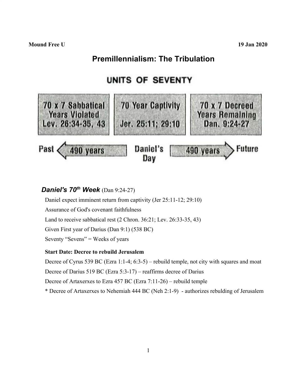# **Premillennialism: The Tribulation**

# UNITS OF SEVENTY



## *Daniel's 70 th Week* (Dan 9:24-27)

Daniel expect imminent return from captivity (Jer 25:11-12; 29:10) Assurance of God's covenant faithfulness Land to receive sabbatical rest (2 Chron. 36:21; Lev. 26:33-35, 43) Given First year of Darius (Dan 9:1) (538 BC) Seventy "Sevens" = Weeks of years

#### **Start Date: Decree to rebuild Jerusalem**

Decree of Cyrus 539 BC (Ezra 1:1-4; 6:3-5) – rebuild temple, not city with squares and moat

Decree of Darius 519 BC (Ezra 5:3-17) – reaffirms decree of Darius

Decree of Artaxerxes to Ezra 457 BC (Ezra 7:11-26) – rebuild temple

\* Decree of Artaxerxes to Nehemiah 444 BC (Neh 2:1-9) - authorizes rebulding of Jerusalem